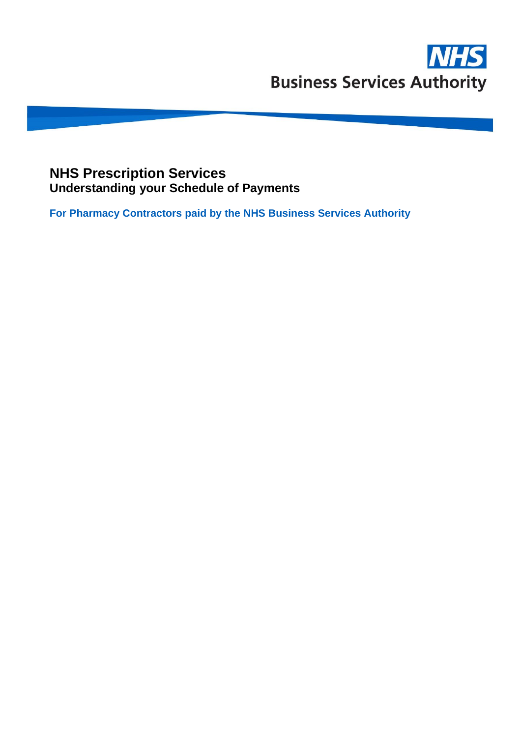## **NHS Prescription Services Understanding your Schedule of Payments**

**For Pharmacy Contractors paid by the NHS Business Services Authority**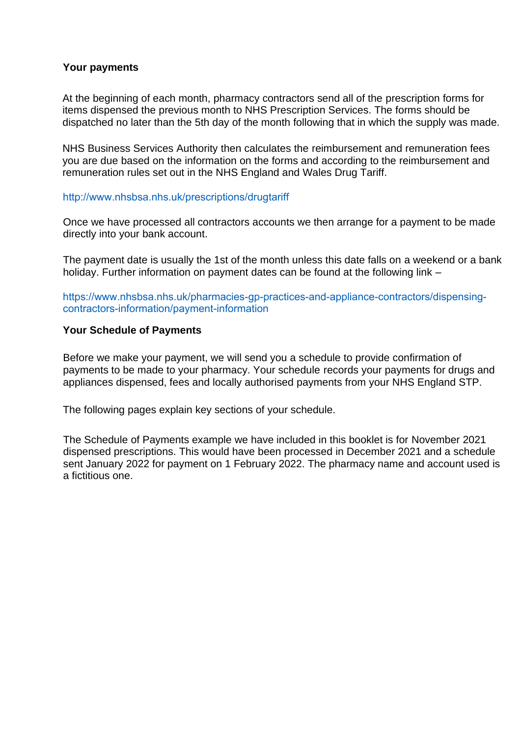#### **Your payments**

At the beginning of each month, pharmacy contractors send all of the prescription forms for items dispensed the previous month to NHS Prescription Services. The forms should be dispatched no later than the 5th day of the month following that in which the supply was made.

NHS Business Services Authority then calculates the reimbursement and remuneration fees you are due based on the information on the forms and according to the reimbursement and remuneration rules set out in the NHS England and Wales Drug Tariff.

#### <http://www.nhsbsa.nhs.uk/prescriptions/drugtariff>

Once we have processed all contractors accounts we then arrange for a payment to be made directly into your bank account.

The payment date is usually the 1st of the month unless this date falls on a weekend or a bank holiday. Further information on payment dates can be found at the following link –

[https://www.nhsbsa.nhs.uk/pharmacies-gp-practices-and-appliance-contractors/dispensing](http://www.nhsbsa.nhs.uk/pharmacies-gp-practices-and-appliance-contractors/dispensing-)contractors-information/payment-information

#### **Your Schedule of Payments**

Before we make your payment, we will send you a schedule to provide confirmation of payments to be made to your pharmacy. Your schedule records your payments for drugs and appliances dispensed, fees and locally authorised payments from your NHS England STP.

The following pages explain key sections of your schedule.

The Schedule of Payments example we have included in this booklet is for November 2021 dispensed prescriptions. This would have been processed in December 2021 and a schedule sent January 2022 for payment on 1 February 2022. The pharmacy name and account used is a fictitious one.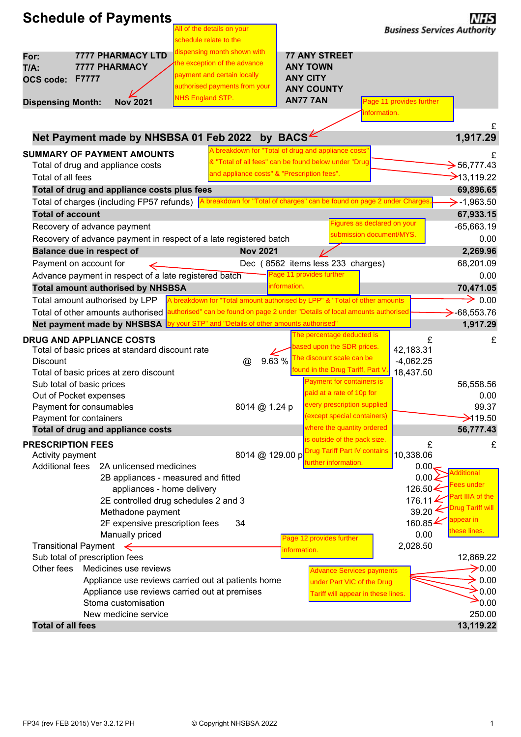| <b>Schedule of Payments</b>                                                                                     | NHS                                                                                                |
|-----------------------------------------------------------------------------------------------------------------|----------------------------------------------------------------------------------------------------|
| All of the details on your<br>schedule relate to the                                                            | <b>Business Services Authority</b>                                                                 |
| dispensing month shown with<br><b>7777 PHARMACY LTD</b><br>For:                                                 | <b>77 ANY STREET</b>                                                                               |
| the exception of the advance<br><b>7777 PHARMACY</b><br>$T/A$ :                                                 | <b>ANY TOWN</b>                                                                                    |
| payment and certain locally<br>F7777<br><b>OCS code:</b>                                                        | <b>ANY CITY</b>                                                                                    |
| authorised payments from your                                                                                   | <b>ANY COUNTY</b>                                                                                  |
| <b>NHS England STP.</b><br><b>Nov 2021</b><br><b>Dispensing Month:</b>                                          | <b>AN77 7AN</b><br>Page 11 provides further                                                        |
|                                                                                                                 | nformation.                                                                                        |
|                                                                                                                 | £                                                                                                  |
| Net Payment made by NHSBSA 01 Feb 2022                                                                          | by BACS <sup>.</sup><br>1,917.29                                                                   |
| <b>SUMMARY OF PAYMENT AMOUNTS</b>                                                                               | A breakdown for "Total of drug and appliance costs"                                                |
| Total of drug and appliance costs                                                                               | & "Total of all fees" can be found below under "Drug<br>$\bigtriangledown$ 56,777.43               |
| and appliance costs" & "Prescription fees".<br>Total of all fees                                                | $\rightarrow$ 13,119.22                                                                            |
| Total of drug and appliance costs plus fees                                                                     | 69,896.65                                                                                          |
| Total of charges (including FP57 refunds)                                                                       | A breakdown for "Total of charges" can be found on page 2 under Charges<br>$\rightarrow$ -1,963.50 |
| <b>Total of account</b>                                                                                         | 67,933.15                                                                                          |
| Recovery of advance payment                                                                                     | Figures as declared on your<br>$-65,663.19$                                                        |
| Recovery of advance payment in respect of a late registered batch                                               | submission document/MYS.<br>0.00                                                                   |
| <b>Nov 2021</b><br><b>Balance due in respect of</b>                                                             | 2,269.96                                                                                           |
| Payment on account for<br>$\Leftarrow$                                                                          | Dec (8562 items less 233 charges)<br>68,201.09                                                     |
| Advance payment in respect of a late registered batch                                                           | Page 11 provides further<br>0.00                                                                   |
| <b>Total amount authorised by NHSBSA</b>                                                                        | nformation.<br>70,471.05                                                                           |
| Total amount authorised by LPP                                                                                  | $\rightarrow$ 0.00<br>A breakdown for "Total amount authorised by LPP" & "Total of other amounts   |
| Total of other amounts authorised authorised" can be found on page 2 under "Details of local amounts authorised | $\rightarrow$ -68,553.76                                                                           |
| Net payment made by NHSBSA by your STP" and "Details of other amounts authorised"                               | 1,917.29                                                                                           |
| <b>DRUG AND APPLIANCE COSTS</b>                                                                                 | The percentage deducted is<br>£<br>£                                                               |
| Total of basic prices at standard discount rate                                                                 | based upon the SDR prices.<br>42,183.31                                                            |
| 9.63 %<br><b>Discount</b><br>@                                                                                  | The discount scale can be<br>$-4,062.25$                                                           |
| Total of basic prices at zero discount                                                                          | found in the Drug Tariff, Part V.<br>18,437.50<br>Payment for containers is                        |
| Sub total of basic prices                                                                                       | 56,558.56<br>paid at a rate of 10p for                                                             |
| Out of Pocket expenses                                                                                          | 0.00<br>every prescription supplied<br>99.37                                                       |
| 8014 @ 1.24 p<br>Payment for consumables<br>Payment for containers                                              | (except special containers)<br>$\rightarrow$ 119.50                                                |
| Total of drug and appliance costs                                                                               | where the quantity ordered<br>56,777.43                                                            |
|                                                                                                                 | is outside of the pack size.                                                                       |
| <b>PRESCRIPTION FEES</b><br>8014 @ 129.00 p<br>Activity payment                                                 | £<br>£<br><b>Drug Tariff Part IV contains</b><br>10,338.06                                         |
| <b>Additional fees</b><br>2A unlicensed medicines                                                               | further information.<br>0.00,                                                                      |
| 2B appliances - measured and fitted                                                                             | <b>Additional</b><br>$0.00\angle$                                                                  |
| appliances - home delivery                                                                                      | Fees under<br>126.50 $\leq$                                                                        |
| 2E controlled drug schedules 2 and 3                                                                            | Part IIIA of the<br>176.11 $\blacktriangle$                                                        |
| Methadone payment                                                                                               | <b>Drug Tariff will</b><br>39.20                                                                   |
| 2F expensive prescription fees<br>34                                                                            | appear in<br>160.85 $\blacktriangle$                                                               |
| Manually priced                                                                                                 | these lines.<br>0.00<br>Page 12 provides further                                                   |
| Transitional Payment $\leftarrow$                                                                               | 2,028.50<br>information.                                                                           |
| Sub total of prescription fees                                                                                  | 12,869.22                                                                                          |
| Other fees<br>Medicines use reviews                                                                             | $\rightarrow$ 0.00<br><b>Advance Services payments</b>                                             |
| Appliance use reviews carried out at patients home<br>Appliance use reviews carried out at premises             | $\geq 0.00$<br>under Part VIC of the Drug<br>$\geq 0.00$                                           |
| Stoma customisation                                                                                             | Tariff will appear in these lines.<br>$\rightarrow 0.00$                                           |
| New medicine service                                                                                            | 250.00                                                                                             |
|                                                                                                                 | 13,119.22                                                                                          |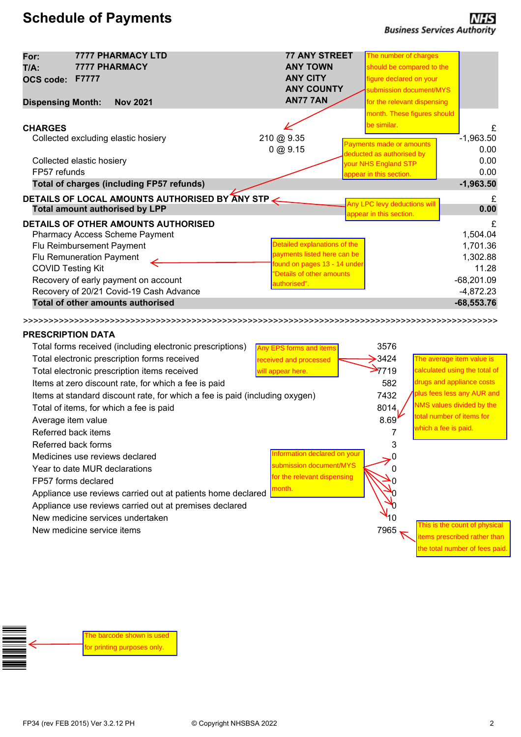# **Schedule of Payments**

| For:<br>$T/A$ :<br><b>OCS code:</b>                                                          | <b>7777 PHARMACY LTD</b><br>7777 PHARMACY<br>F7777                                                                                                                                                                                                                                                                                                                                                                                    | <b>77 ANY STREET</b><br><b>ANY TOWN</b><br><b>ANY CITY</b><br><b>ANY COUNTY</b>                                                                                 | The number of charges<br>should be compared to the<br>figure declared on your<br>submission document/MYS                                       |                                                                                                                                                    |
|----------------------------------------------------------------------------------------------|---------------------------------------------------------------------------------------------------------------------------------------------------------------------------------------------------------------------------------------------------------------------------------------------------------------------------------------------------------------------------------------------------------------------------------------|-----------------------------------------------------------------------------------------------------------------------------------------------------------------|------------------------------------------------------------------------------------------------------------------------------------------------|----------------------------------------------------------------------------------------------------------------------------------------------------|
| <b>Dispensing Month:</b>                                                                     | <b>Nov 2021</b>                                                                                                                                                                                                                                                                                                                                                                                                                       | <b>AN77 7AN</b>                                                                                                                                                 | for the relevant dispensing                                                                                                                    |                                                                                                                                                    |
| <b>CHARGES</b>                                                                               | Collected excluding elastic hosiery<br>Collected elastic hosiery                                                                                                                                                                                                                                                                                                                                                                      | 210 @ 9.35<br>0 @ 9.15                                                                                                                                          | month. These figures should<br>be similar.<br>Payments made or amounts<br>deducted as authorised by<br>your NHS England STP                    | £<br>$-1,963.50$<br>0.00<br>0.00                                                                                                                   |
| FP57 refunds                                                                                 |                                                                                                                                                                                                                                                                                                                                                                                                                                       |                                                                                                                                                                 | appear in this section.                                                                                                                        | 0.00                                                                                                                                               |
|                                                                                              | <b>Total of charges (including FP57 refunds)</b>                                                                                                                                                                                                                                                                                                                                                                                      |                                                                                                                                                                 |                                                                                                                                                | $-1,963.50$                                                                                                                                        |
|                                                                                              | DETAILS OF LOCAL AMOUNTS AUTHORISED BY ANY STP                                                                                                                                                                                                                                                                                                                                                                                        |                                                                                                                                                                 | Any LPC levy deductions will                                                                                                                   | £                                                                                                                                                  |
| <b>COVID Testing Kit</b>                                                                     | <b>Total amount authorised by LPP</b><br><b>DETAILS OF OTHER AMOUNTS AUTHORISED</b><br>Pharmacy Access Scheme Payment<br>Flu Reimbursement Payment<br>Flu Remuneration Payment<br>Recovery of early payment on account<br>Recovery of 20/21 Covid-19 Cash Advance                                                                                                                                                                     | Detailed explanations of the<br>payments listed here can be<br>found on pages 13 - 14 under<br>'Details of other amounts<br>authorised".                        | appear in this section.                                                                                                                        | 0.00<br>£<br>1,504.04<br>1,701.36<br>1,302.88<br>11.28<br>$-68,201.09$<br>$-4,872.23$                                                              |
|                                                                                              | Total of other amounts authorised                                                                                                                                                                                                                                                                                                                                                                                                     |                                                                                                                                                                 |                                                                                                                                                | $-68,553.76$                                                                                                                                       |
| <b>PRESCRIPTION DATA</b><br>Average item value<br>Referred back items<br>Referred back forms | Total forms received (including electronic prescriptions)<br>Total electronic prescription forms received<br>Total electronic prescription items received<br>Items at zero discount rate, for which a fee is paid<br>Items at standard discount rate, for which a fee is paid (including oxygen)<br>Total of items, for which a fee is paid<br>Medicines use reviews declared<br>Year to date MUR declarations<br>FP57 forms declared | Any EPS forms and items<br>received and processed<br>will appear here.<br>nformation declared on your<br>submission document/MYS<br>for the relevant dispensing | 3576<br>$\rightarrow$ 3424<br>$\rightarrow$ 7719<br>582<br>7432<br>8014<br>total number of items for<br>8.69<br>which a fee is paid.<br>7<br>3 | The average item value is<br>calculated using the total of<br>drugs and appliance costs<br>plus fees less any AUR and<br>NMS values divided by the |
|                                                                                              | Appliance use reviews carried out at patients home declared<br>Appliance use reviews carried out at premises declared<br>New medicine services undertaken<br>New medicine service items                                                                                                                                                                                                                                               | month.                                                                                                                                                          | 7965                                                                                                                                           | This is the count of physical<br>tems prescribed rather than<br>he total number of fees paid.                                                      |

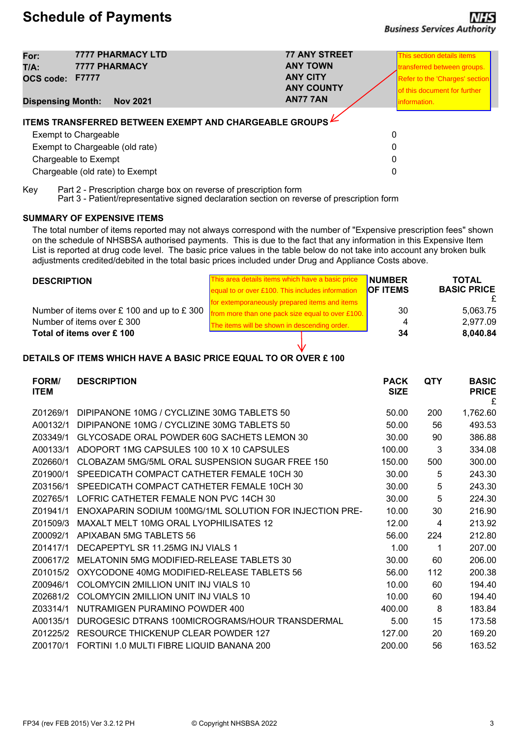| For:<br>T/A:<br><b>OCS code:</b><br><b>Dispensing Month:</b> | <b>7777 PHARMACY LTD</b><br><b>7777 PHARMACY</b><br><b>F7777</b><br><b>Nov 2021</b>                                                                                                                | <b>77 ANY STREET</b><br><b>ANY TOWN</b><br><b>ANY CITY</b><br><b>ANY COUNTY</b><br><b>AN77 7AN</b> | This section details items<br>transferred between groups.<br><b>Refer to the 'Charges' section</b><br>of this document for further<br>information. |
|--------------------------------------------------------------|----------------------------------------------------------------------------------------------------------------------------------------------------------------------------------------------------|----------------------------------------------------------------------------------------------------|----------------------------------------------------------------------------------------------------------------------------------------------------|
|                                                              | <b>ITEMS TRANSFERRED BETWEEN EXEMPT AND CHARGEABLE GROUPS LETTLES</b><br><b>Exempt to Chargeable</b><br>Exempt to Chargeable (old rate)<br>Chargeable to Exempt<br>Chargeable (old rate) to Exempt | 0<br>0<br>0<br>0                                                                                   |                                                                                                                                                    |

Key Part 2 - Prescription charge box on reverse of prescription form

Part 3 - Patient/representative signed declaration section on reverse of prescription form

#### **SUMMARY OF EXPENSIVE ITEMS**

The total number of items reported may not always correspond with the number of "Expensive prescription fees" shown on the schedule of NHSBSA authorised payments. This is due to the fact that any information in this Expensive Item List is reported at drug code level. The basic price values in the table below do not take into account any broken bulk adjustments credited/debited in the total basic prices included under Drug and Appliance Costs above.

| <b>DESCRIPTION</b>                         | This area details items which have a basic price | <b>NUMBER</b>   | <b>TOTAL</b>       |  |
|--------------------------------------------|--------------------------------------------------|-----------------|--------------------|--|
|                                            | equal to or over £100. This includes information | <b>OF ITEMS</b> | <b>BASIC PRICE</b> |  |
|                                            | for extemporaneously prepared items and items    |                 |                    |  |
| Number of items over £ 100 and up to £ 300 | from more than one pack size equal to over £100. | 30              | 5.063.75           |  |
| Number of items over £300                  | The items will be shown in descending order.     |                 | 2.977.09           |  |
| Total of items over £100                   |                                                  | 34              | 8,040.84           |  |

#### **DETAILS OF ITEMS WHICH HAVE A BASIC PRICE EQUAL TO OR OVER £ 100**

| <b>FORM/</b><br><b>ITEM</b> | <b>DESCRIPTION</b>                                      | <b>PACK</b><br><b>SIZE</b> | <b>QTY</b> | <b>BASIC</b><br><b>PRICE</b><br>£ |
|-----------------------------|---------------------------------------------------------|----------------------------|------------|-----------------------------------|
| Z01269/1                    | DIPIPANONE 10MG / CYCLIZINE 30MG TABLETS 50             | 50.00                      | 200        | 1,762.60                          |
| A00132/1                    | DIPIPANONE 10MG / CYCLIZINE 30MG TABLETS 50             | 50.00                      | 56         | 493.53                            |
| Z03349/1                    | GLYCOSADE ORAL POWDER 60G SACHETS LEMON 30              | 30.00                      | 90         | 386.88                            |
| A00133/1                    | ADOPORT 1MG CAPSULES 100 10 X 10 CAPSULES               | 100.00                     | 3          | 334.08                            |
| Z02660/1                    | CLOBAZAM 5MG/5ML ORAL SUSPENSION SUGAR FREE 150         | 150.00                     | 500        | 300.00                            |
| Z01900/1                    | SPEEDICATH COMPACT CATHETER FEMALE 10CH 30              | 30.00                      | 5          | 243.30                            |
| Z03156/1                    | SPEEDICATH COMPACT CATHETER FEMALE 10CH 30              | 30.00                      | 5          | 243.30                            |
| Z02765/1                    | LOFRIC CATHETER FEMALE NON PVC 14CH 30                  | 30.00                      | 5          | 224.30                            |
| Z01941/1                    | ENOXAPARIN SODIUM 100MG/1ML SOLUTION FOR INJECTION PRE- | 10.00                      | 30         | 216.90                            |
| Z01509/3                    | MAXALT MELT 10MG ORAL LYOPHILISATES 12                  | 12.00                      | 4          | 213.92                            |
| Z00092/1                    | APIXABAN 5MG TABLETS 56                                 | 56.00                      | 224        | 212.80                            |
| Z01417/1                    | DECAPEPTYL SR 11.25MG INJ VIALS 1                       | 1.00                       | 1          | 207.00                            |
| Z00617/2                    | MELATONIN 5MG MODIFIED-RELEASE TABLETS 30               | 30.00                      | 60         | 206.00                            |
| Z01015/2                    | OXYCODONE 40MG MODIFIED-RELEASE TABLETS 56              | 56.00                      | 112        | 200.38                            |
| Z00946/1                    | COLOMYCIN 2MILLION UNIT INJ VIALS 10                    | 10.00                      | 60         | 194.40                            |
| Z02681/2                    | COLOMYCIN 2MILLION UNIT INJ VIALS 10                    | 10.00                      | 60         | 194.40                            |
| Z03314/1                    | NUTRAMIGEN PURAMINO POWDER 400                          | 400.00                     | 8          | 183.84                            |
| A00135/1                    | DUROGESIC DTRANS 100MICROGRAMS/HOUR TRANSDERMAL         | 5.00                       | 15         | 173.58                            |
| Z01225/2                    | RESOURCE THICKENUP CLEAR POWDER 127                     | 127.00                     | 20         | 169.20                            |
| Z00170/1                    | FORTINI 1.0 MULTI FIBRE LIQUID BANANA 200               | 200.00                     | 56         | 163.52                            |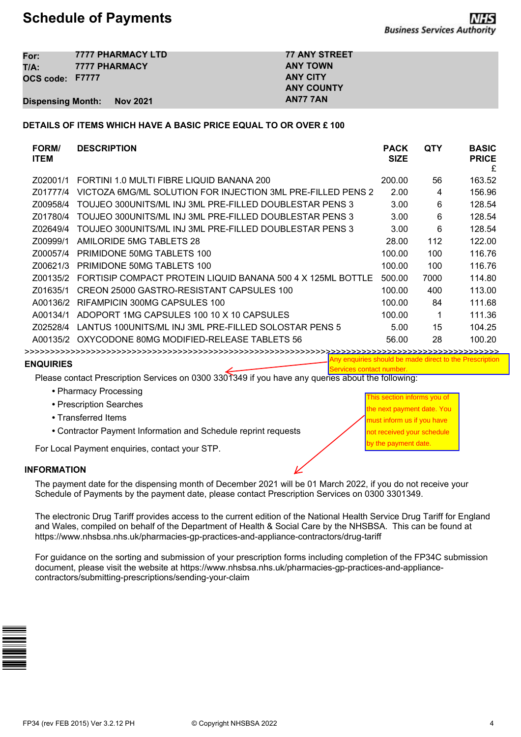## **Schedule of Payments**

| For:                     | <b>7777 PHARMACY LTD</b> | <b>77 ANY STREET</b> |
|--------------------------|--------------------------|----------------------|
| T/A:                     | <b>7777 PHARMACY</b>     | <b>ANY TOWN</b>      |
| OCS code: F7777          |                          | <b>ANY CITY</b>      |
|                          |                          | <b>ANY COUNTY</b>    |
| <b>Dispensing Month:</b> | Nov 2021                 | AN77 7AN             |

#### **DETAILS OF ITEMS WHICH HAVE A BASIC PRICE EQUAL TO OR OVER £ 100**

| <b>FORM/</b><br><b>ITEM</b> | <b>DESCRIPTION</b>                                          | <b>PACK</b><br><b>SIZE</b> | QTY  | <b>BASIC</b><br><b>PRICE</b><br>£ |
|-----------------------------|-------------------------------------------------------------|----------------------------|------|-----------------------------------|
| Z02001/1                    | FORTINI 1.0 MULTI FIBRE LIQUID BANANA 200                   | 200.00                     | 56   | 163.52                            |
| Z01777/4                    | VICTOZA 6MG/ML SOLUTION FOR INJECTION 3ML PRE-FILLED PENS 2 | 2.00                       | 4    | 156.96                            |
| Z00958/4                    | TOUJEO 300UNITS/ML INJ 3ML PRE-FILLED DOUBLESTAR PENS 3     | 3.00                       | 6    | 128.54                            |
| Z01780/4                    | TOUJEO 300UNITS/ML INJ 3ML PRE-FILLED DOUBLESTAR PENS 3     | 3.00                       | 6    | 128.54                            |
| Z02649/4                    | TOUJEO 300UNITS/ML INJ 3ML PRE-FILLED DOUBLESTAR PENS 3     | 3.00                       | 6    | 128.54                            |
| Z00999/1                    | AMILORIDE 5MG TABLETS 28                                    | 28.00                      | 112  | 122.00                            |
| Z00057/4                    | PRIMIDONE 50MG TABLETS 100                                  | 100.00                     | 100  | 116.76                            |
| Z00621/3                    | PRIMIDONE 50MG TABLETS 100                                  | 100.00                     | 100  | 116.76                            |
| Z00135/2                    | FORTISIP COMPACT PROTEIN LIQUID BANANA 500 4 X 125ML BOTTLE | 500.00                     | 7000 | 114.80                            |
| Z01635/1                    | CREON 25000 GASTRO-RESISTANT CAPSULES 100                   | 100.00                     | 400  | 113.00                            |
| A00136/2                    | RIFAMPICIN 300MG CAPSULES 100                               | 100.00                     | 84   | 111.68                            |
| A00134/1                    | ADOPORT 1MG CAPSULES 100 10 X 10 CAPSULES                   | 100.00                     |      | 111.36                            |
| Z02528/4                    | LANTUS 100UNITS/ML INJ 3ML PRE-FILLED SOLOSTAR PENS 5       | 5.00                       | 15   | 104.25                            |
| A00135/2                    | OXYCODONE 80MG MODIFIED-RELEASE TABLETS 56                  | 56.00                      | 28   | 100.20                            |
|                             |                                                             |                            |      |                                   |

**ENQUIRIES**

Any enquiries should be made direct to the Prescription Services contact numbe

Please contact Prescription Services on 0300 3301349 if you have any queries about the following:

- **•** Pharmacy Processing
- **•** Prescription Searches
- **•** Transferred Items
- **•** Contractor Payment Information and Schedule reprint requests

For Local Payment enquiries, contact your STP.

#### **INFORMATION**

The payment date for the dispensing month of December 2021 will be 01 March 2022, if you do not receive your Schedule of Payments by the payment date, please contact Prescription Services on 0300 3301349.

The electronic Drug Tariff provides access to the current edition of the National Health Service Drug Tariff for England and Wales, compiled on behalf of the Department of Health & Social Care by the NHSBSA. This can be found at https://www.nhsbsa.nhs.uk/pharmacies-gp-practices-and-appliance-contractors/drug-tariff

For guidance on the sorting and submission of your prescription forms including completion of the FP34C submission document, please visit the website at https://www.nhsbsa.nhs.uk/pharmacies-gp-practices-and-appliancecontractors/submitting-prescriptions/sending-your-claim



This section informs you of he next payment date. You must inform us if you have not received your schedule by the payment date.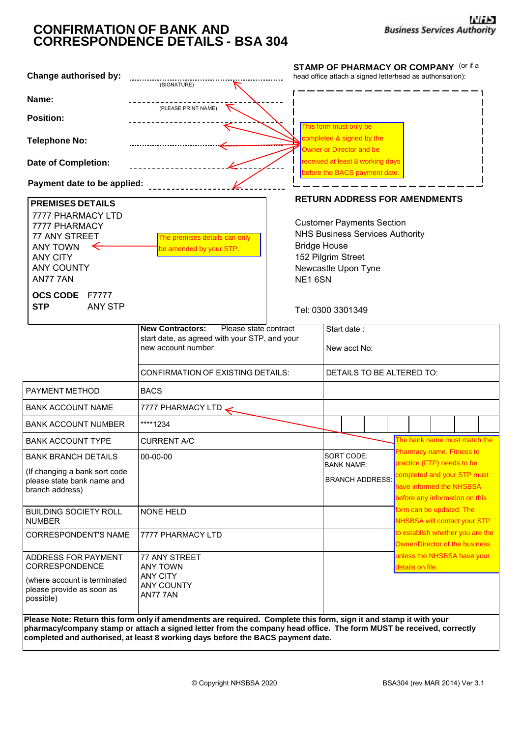## **CONFIRMATION OF BANK AND CORRESPONDENCE DETAILS - BSA 304**

| Change authorised by:                                                                                                      |                                                                                                                                                                                                                                                                                                                             | <b>STAMP OF PHARMACY OR COMPANY (Or if a</b><br>head office attach a signed letterhead as authorisation):                                                |                                                                                 |                             |                           |  |                  |                                                                                                                         |  |
|----------------------------------------------------------------------------------------------------------------------------|-----------------------------------------------------------------------------------------------------------------------------------------------------------------------------------------------------------------------------------------------------------------------------------------------------------------------------|----------------------------------------------------------------------------------------------------------------------------------------------------------|---------------------------------------------------------------------------------|-----------------------------|---------------------------|--|------------------|-------------------------------------------------------------------------------------------------------------------------|--|
|                                                                                                                            | (SIGNATURE)                                                                                                                                                                                                                                                                                                                 |                                                                                                                                                          |                                                                                 |                             |                           |  |                  |                                                                                                                         |  |
| Name:                                                                                                                      | (PLEASE PRINT NAME)                                                                                                                                                                                                                                                                                                         |                                                                                                                                                          |                                                                                 |                             |                           |  |                  |                                                                                                                         |  |
| <b>Position:</b>                                                                                                           |                                                                                                                                                                                                                                                                                                                             |                                                                                                                                                          |                                                                                 |                             |                           |  |                  |                                                                                                                         |  |
| <b>Telephone No:</b>                                                                                                       |                                                                                                                                                                                                                                                                                                                             |                                                                                                                                                          | This form must only be<br>completed & signed by the<br>Owner or Director and be |                             |                           |  |                  |                                                                                                                         |  |
| <b>Date of Completion:</b>                                                                                                 |                                                                                                                                                                                                                                                                                                                             |                                                                                                                                                          | received at least 8 working days<br>before the BACS payment date.               |                             |                           |  |                  |                                                                                                                         |  |
| Payment date to be applied:                                                                                                |                                                                                                                                                                                                                                                                                                                             |                                                                                                                                                          |                                                                                 |                             |                           |  |                  |                                                                                                                         |  |
| <b>PREMISES DETAILS</b>                                                                                                    |                                                                                                                                                                                                                                                                                                                             | <b>RETURN ADDRESS FOR AMENDMENTS</b>                                                                                                                     |                                                                                 |                             |                           |  |                  |                                                                                                                         |  |
| 7777 PHARMACY LTD<br>7777 PHARMACY<br>77 ANY STREET<br><b>ANY TOWN</b><br><b>ANY CITY</b><br><b>ANY COUNTY</b><br>AN77 7AN | The premises details can only<br>be amended by your STP.                                                                                                                                                                                                                                                                    | <b>Customer Payments Section</b><br><b>NHS Business Services Authority</b><br><b>Bridge House</b><br>152 Pilgrim Street<br>Newcastle Upon Tyne<br>NE16SN |                                                                                 |                             |                           |  |                  |                                                                                                                         |  |
| <b>OCS CODE</b><br>F7777<br><b>STP</b><br><b>ANY STP</b>                                                                   |                                                                                                                                                                                                                                                                                                                             | Tel: 0300 3301349                                                                                                                                        |                                                                                 |                             |                           |  |                  |                                                                                                                         |  |
|                                                                                                                            | Please state contract<br><b>New Contractors:</b><br>start date, as agreed with your STP, and your<br>new account number<br><b>CONFIRMATION OF EXISTING DETAILS:</b>                                                                                                                                                         |                                                                                                                                                          |                                                                                 | Start date:<br>New acct No: | DETAILS TO BE ALTERED TO: |  |                  |                                                                                                                         |  |
| PAYMENT METHOD                                                                                                             | <b>BACS</b>                                                                                                                                                                                                                                                                                                                 |                                                                                                                                                          |                                                                                 |                             |                           |  |                  |                                                                                                                         |  |
| <b>BANK ACCOUNT NAME</b>                                                                                                   | 7777 PHARMACY LTD                                                                                                                                                                                                                                                                                                           |                                                                                                                                                          |                                                                                 |                             |                           |  |                  |                                                                                                                         |  |
| <b>BANK ACCOUNT NUMBER</b>                                                                                                 | ****1234                                                                                                                                                                                                                                                                                                                    |                                                                                                                                                          |                                                                                 |                             |                           |  |                  |                                                                                                                         |  |
| <b>BANK ACCOUNT TYPE</b>                                                                                                   | <b>CURRENT A/C</b>                                                                                                                                                                                                                                                                                                          |                                                                                                                                                          |                                                                                 |                             |                           |  |                  | The bank name must match the                                                                                            |  |
| <b>BANK BRANCH DETAILS</b>                                                                                                 | 00-00-00                                                                                                                                                                                                                                                                                                                    |                                                                                                                                                          | SORT CODE:                                                                      |                             |                           |  |                  | Pharmacy name. Fitness to                                                                                               |  |
| (If changing a bank sort code<br>please state bank name and<br>branch address)                                             |                                                                                                                                                                                                                                                                                                                             |                                                                                                                                                          | <b>BANK NAME:</b>                                                               |                             | <b>BRANCH ADDRESS:</b>    |  |                  | practice (FTP) needs to be<br>completed and your STP must<br>have informed the NHSBSA<br>before any information on this |  |
| <b>BUILDING SOCIETY ROLL</b><br><b>NUMBER</b>                                                                              | <b>NONE HELD</b>                                                                                                                                                                                                                                                                                                            |                                                                                                                                                          |                                                                                 |                             |                           |  |                  | form can be updated. The<br><b>NHSBSA will contact your STP</b>                                                         |  |
| <b>CORRESPONDENT'S NAME</b>                                                                                                | 7777 PHARMACY LTD                                                                                                                                                                                                                                                                                                           |                                                                                                                                                          |                                                                                 |                             |                           |  |                  | to establish whether you are the<br><b>Owner/Director of the business</b>                                               |  |
| ADDRESS FOR PAYMENT<br>CORRESPONDENCE                                                                                      | 77 ANY STREET<br><b>ANY TOWN</b>                                                                                                                                                                                                                                                                                            |                                                                                                                                                          |                                                                                 |                             |                           |  | details on file. | unless the NHSBSA have your                                                                                             |  |
| (where account is terminated<br>please provide as soon as<br>possible)                                                     | <b>ANY CITY</b><br><b>ANY COUNTY</b><br>AN77 7AN                                                                                                                                                                                                                                                                            |                                                                                                                                                          |                                                                                 |                             |                           |  |                  |                                                                                                                         |  |
|                                                                                                                            | Please Note: Return this form only if amendments are required. Complete this form, sign it and stamp it with your<br>pharmacy/company stamp or attach a signed letter from the company head office. The form MUST be received, correctly<br>completed and authorised, at least 8 working days before the BACS payment date. |                                                                                                                                                          |                                                                                 |                             |                           |  |                  |                                                                                                                         |  |
|                                                                                                                            | © Copyright NHSBSA 2020                                                                                                                                                                                                                                                                                                     |                                                                                                                                                          |                                                                                 |                             |                           |  |                  | BSA304 (rev MAR 2014) Ver 3.1                                                                                           |  |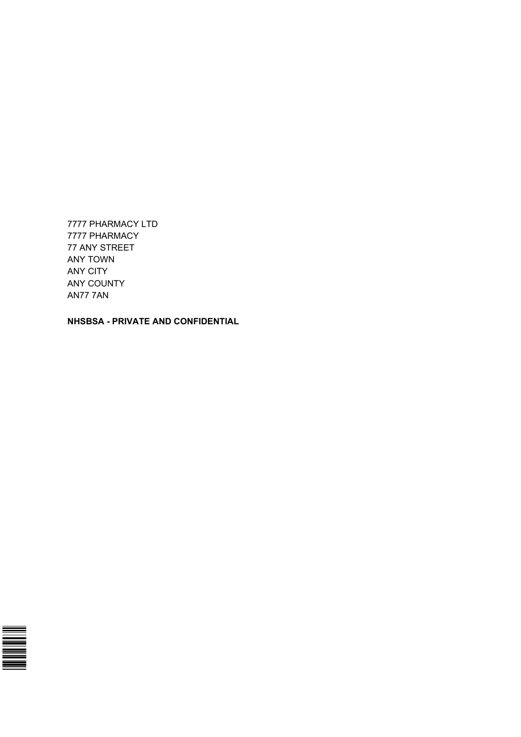7777 PHARMACY LTD 7777 PHARMACY 77 ANY STREET ANY TOWN ANY CITY ANY COUNTY AN77 7AN

**NHSBSA - PRIVATE AND CONFIDENTIAL**

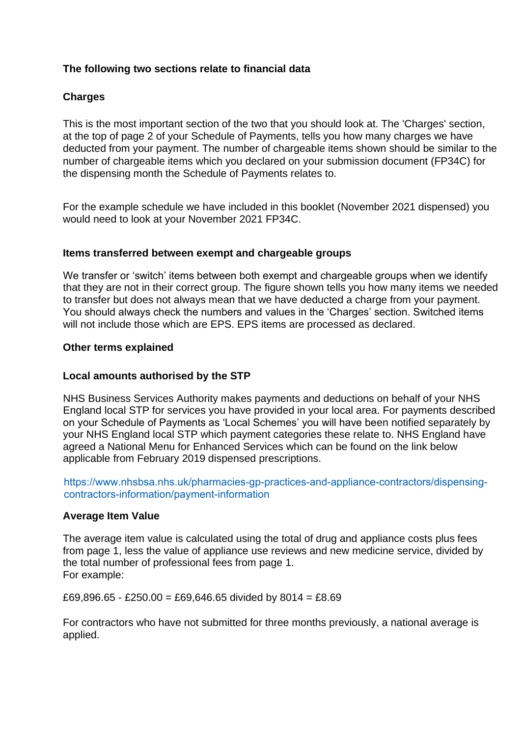## **The following two sections relate to financial data**

## **Charges**

This is the most important section of the two that you should look at. The 'Charges' section, at the top of page 2 of your Schedule of Payments, tells you how many charges we have deducted from your payment. The number of chargeable items shown should be similar to the number of chargeable items which you declared on your submission document (FP34C) for the dispensing month the Schedule of Payments relates to.

For the example schedule we have included in this booklet (November 2021 dispensed) you would need to look at your November 2021 FP34C.

#### **Items transferred between exempt and chargeable groups**

We transfer or 'switch' items between both exempt and chargeable groups when we identify that they are not in their correct group. The figure shown tells you how many items we needed to transfer but does not always mean that we have deducted a charge from your payment. You should always check the numbers and values in the 'Charges' section. Switched items will not include those which are EPS. EPS items are processed as declared.

#### **Other terms explained**

#### **Local amounts authorised by the STP**

NHS Business Services Authority makes payments and deductions on behalf of your NHS England local STP for services you have provided in your local area. For payments described on your Schedule of Payments as 'Local Schemes' you will have been notified separately by your NHS England local STP which payment categories these relate to. NHS England have agreed a National Menu for Enhanced Services which can be found on the link below applicable from February 2019 dispensed prescriptions.

https://www.nhsbsa.nhs.uk/pharmacies-gp-practices-and-appliance-contractors/dispensing[contractors-information/payment-](https://www.nhsbsa.nhs.uk/pharmacies-gp-practices-and-appliance-contractors/dispensing-contractors-information/payment)information

#### **Average Item Value**

The average item value is calculated using the total of drug and appliance costs plus fees from page 1, less the value of appliance use reviews and new medicine service, divided by the total number of professional fees from page 1. For example:

£69,896.65 - £250.00 = £69,646.65 divided by 8014 = £8.69

For contractors who have not submitted for three months previously, a national average is applied.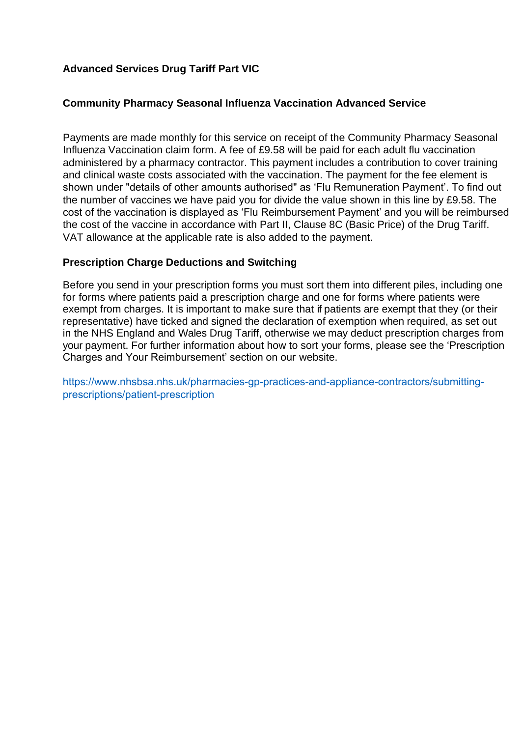## **Advanced Services Drug Tariff Part VIC**

## **Community Pharmacy Seasonal Influenza Vaccination Advanced Service**

Payments are made monthly for this service on receipt of the Community Pharmacy Seasonal Influenza Vaccination claim form. A fee of £9.58 will be paid for each adult flu vaccination administered by a pharmacy contractor. This payment includes a contribution to cover training and clinical waste costs associated with the vaccination. The payment for the fee element is shown under "details of other amounts authorised" as 'Flu Remuneration Payment'. To find out the number of vaccines we have paid you for divide the value shown in this line by £9.58. The cost of the vaccination is displayed as 'Flu Reimbursement Payment' and you will be reimbursed the cost of the vaccine in accordance with Part II, Clause 8C (Basic Price) of the Drug Tariff. VAT allowance at the applicable rate is also added to the payment.

## **Prescription Charge Deductions and Switching**

Before you send in your prescription forms you must sort them into different piles, including one for forms where patients paid a prescription charge and one for forms where patients were exempt from charges. It is important to make sure that if patients are exempt that they (or their representative) have ticked and signed the declaration of exemption when required, as set out in the NHS England and Wales Drug Tariff, otherwise we may deduct prescription charges from your payment. For further information about how to sort your forms, please see the 'Prescription Charges and Your Reimbursement' section on our website.

[https://www.nhsbsa.nhs.uk/pharmacies-gp-practices-and-appliance-contractors/submitting](http://www.nhsbsa.nhs.uk/pharmacies-gp-practices-and-appliance-contractors/submitting-)prescriptions/patient-prescription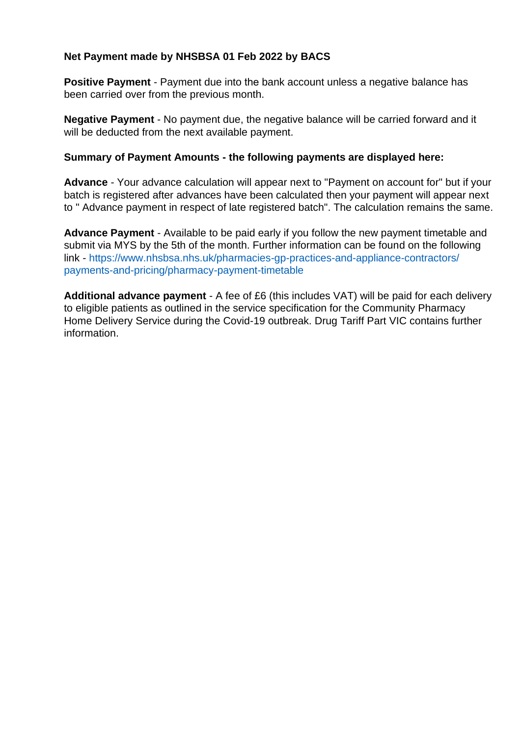## **Net Payment made by NHSBSA 01 Feb 2022 by BACS**

**Positive Payment** - Payment due into the bank account unless a negative balance has been carried over from the previous month.

**Negative Payment** - No payment due, the negative balance will be carried forward and it will be deducted from the next available payment.

## **Summary of Payment Amounts - the following payments are displayed here:**

**Advance** - Your advance calculation will appear next to "Payment on account for" but if your batch is registered after advances have been calculated then your payment will appear next to " Advance payment in respect of late registered batch". The calculation remains the same.

**Advance Payment** - Available to be paid early if you follow the new payment timetable and submit via MYS by the 5th of the month. Further information can be found on the following [link - https://www.nhsbsa.nhs.uk/pharmacies-gp-practices-and-appliance-contractors/](https://www.nhsbsa.nhs.uk/pharmacies-gp-practices-and-appliance-contractors/payments-and-pricing/pharmacy-payment-timetable)  [payments-and-pricing/pharmacy-payment-timetable](https://www.nhsbsa.nhs.uk/pharmacies-gp-practices-and-appliance-contractors/payments-and-pricing/pharmacy-payment-timetable)

**Additional advance payment** - A fee of £6 (this includes VAT) will be paid for each delivery to eligible patients as outlined in the service specification for the Community Pharmacy Home Delivery Service during the Covid-19 outbreak. Drug Tariff Part VIC contains further information.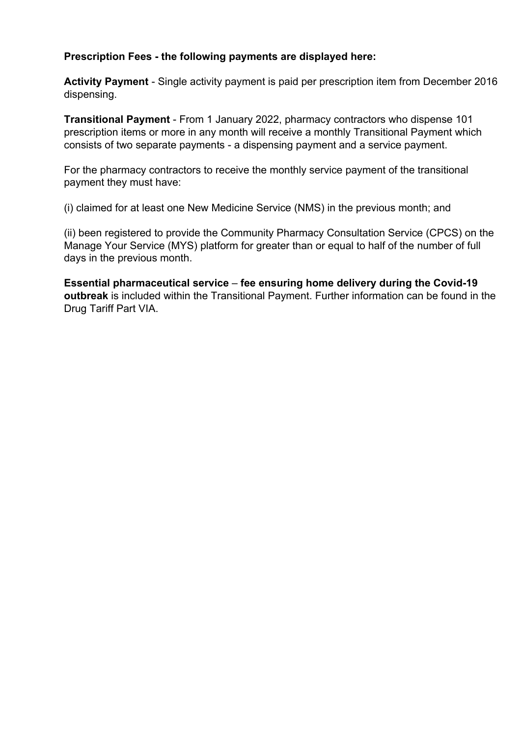## **Prescription Fees - the following payments are displayed here:**

**Activity Payment** - Single activity payment is paid per prescription item from December 2016 dispensing.

**Transitional Payment** - From 1 January 2022, pharmacy contractors who dispense 101 prescription items or more in any month will receive a monthly Transitional Payment which consists of two separate payments - a dispensing payment and a service payment.

For the pharmacy contractors to receive the monthly service payment of the transitional payment they must have:

(i) claimed for at least one New Medicine Service (NMS) in the previous month; and

(ii) been registered to provide the Community Pharmacy Consultation Service (CPCS) on the Manage Your Service (MYS) platform for greater than or equal to half of the number of full days in the previous month.

**Essential pharmaceutical service** – **fee ensuring home delivery during the Covid-19 outbreak** is included within the Transitional Payment. Further information can be found in the Drug Tariff Part VIA.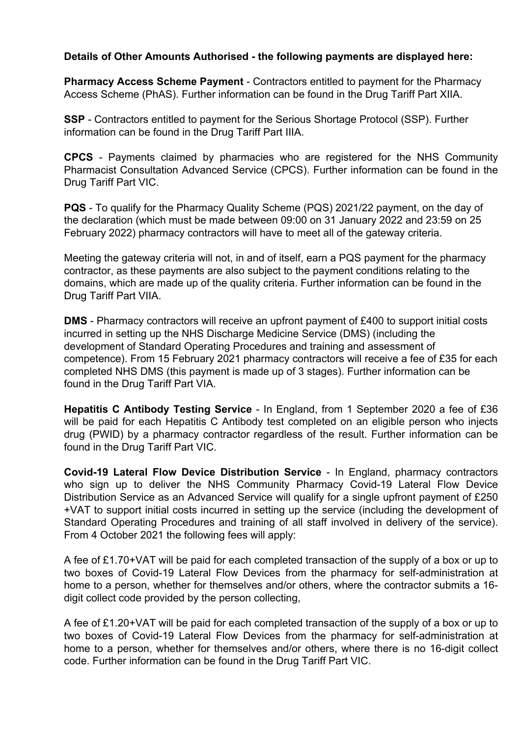## **Details of Other Amounts Authorised - the following payments are displayed here:**

**Pharmacy Access Scheme Payment** - Contractors entitled to payment for the Pharmacy Access Scheme (PhAS). Further information can be found in the Drug Tariff Part XIIA.

**SSP** - Contractors entitled to payment for the Serious Shortage Protocol (SSP). Further information can be found in the Drug Tariff Part IIIA.

**CPCS** - Payments claimed by pharmacies who are registered for the NHS Community Pharmacist Consultation Advanced Service (CPCS). Further information can be found in the Drug Tariff Part VIC.

**PQS** - To qualify for the Pharmacy Quality Scheme (PQS) 2021/22 payment, on the day of the declaration (which must be made between 09:00 on 31 January 2022 and 23:59 on 25 February 2022) pharmacy contractors will have to meet all of the gateway criteria.

Meeting the gateway criteria will not, in and of itself, earn a PQS payment for the pharmacy contractor, as these payments are also subject to the payment conditions relating to the domains, which are made up of the quality criteria. Further information can be found in the Drug Tariff Part VIIA.

**DMS** - Pharmacy contractors will receive an upfront payment of £400 to support initial costs incurred in setting up the NHS Discharge Medicine Service (DMS) (including the development of Standard Operating Procedures and training and assessment of competence). From 15 February 2021 pharmacy contractors will receive a fee of £35 for each completed NHS DMS (this payment is made up of 3 stages). Further information can be found in the Drug Tariff Part VIA.

**Hepatitis C Antibody Testing Service** - In England, from 1 September 2020 a fee of £36 will be paid for each Hepatitis C Antibody test completed on an eligible person who injects drug (PWID) by a pharmacy contractor regardless of the result. Further information can be found in the Drug Tariff Part VIC.

**Covid-19 Lateral Flow Device Distribution Service** - In England, pharmacy contractors who sign up to deliver the NHS Community Pharmacy Covid-19 Lateral Flow Device Distribution Service as an Advanced Service will qualify for a single upfront payment of £250 +VAT to support initial costs incurred in setting up the service (including the development of [Standard Operating Procedures and training of all staff involved in delivery of the service\).](https://www.nhsbsa.nhs.uk/pharmacies-gp-practices-and-appliance-contractors/submitting-prescriptions/patient-prescription) [From 4 October 2021 the followin](https://www.nhsbsa.nhs.uk/pharmacies-gp-practices-and-appliance-contractors/submitting-prescriptions/patient-prescription)g fees will apply:

A fee of £1.70+VAT will be paid for each completed transaction of the supply of a box or up to two boxes of Covid-19 Lateral Flow Devices from the pharmacy for self-administration at home to a person, whether for themselves and/or others, where the contractor submits a 16 digit collect code provided by the person collecting,

A fee of £1.20+VAT will be paid for each completed transaction of the supply of a box or up to two boxes of Covid-19 Lateral Flow Devices from the pharmacy for self-administration at home to a person, whether for themselves and/or others, where there is no 16-digit collect code. Further information can be found in the Drug Tariff Part VIC.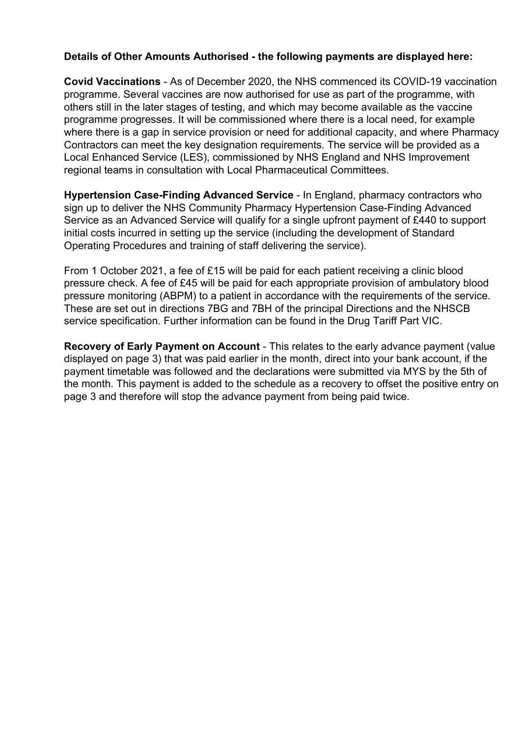## **Details of Other Amounts Authorised - the following payments are displayed here:**

**Covid Vaccinations** - As of December 2020, the NHS commenced its COVID-19 vaccination programme. Several vaccines are now authorised for use as part of the programme, with others still in the later stages of testing, and which may become available as the vaccine programme progresses. It will be commissioned where there is a local need, for example where there is a gap in service provision or need for additional capacity, and where Pharmacy Contractors can meet the key designation requirements. The service will be provided as a Local Enhanced Service (LES), commissioned by NHS England and NHS Improvement regional teams in consultation with Local Pharmaceutical Committees.

**Hypertension Case-Finding Advanced Service** - In England, pharmacy contractors who sign up to deliver the NHS Community Pharmacy Hypertension Case-Finding Advanced Service as an Advanced Service will qualify for a single upfront payment of £440 to support initial costs incurred in setting up the service (including the development of Standard Operating Procedures and training of staff delivering the service).

From 1 October 2021, a fee of £15 will be paid for each patient receiving a clinic blood pressure check. A fee of £45 will be paid for each appropriate provision of ambulatory blood pressure monitoring (ABPM) to a patient in accordance with the requirements of the service. These are set out in directions 7BG and 7BH of the principal Directions and the NHSCB service specification. Further information can be found in the Drug Tariff Part VIC.

**Recovery of Early Payment on Account** - This relates to the early advance payment (value displayed on page 3) that was paid earlier in the month, direct into your bank account, if the payment timetable was followed and the declarations were submitted via MYS by the 5th of the month. This payment is added to the schedule as a recovery to offset the positive entry on page 3 and therefore will stop the advance payment from being paid twice.